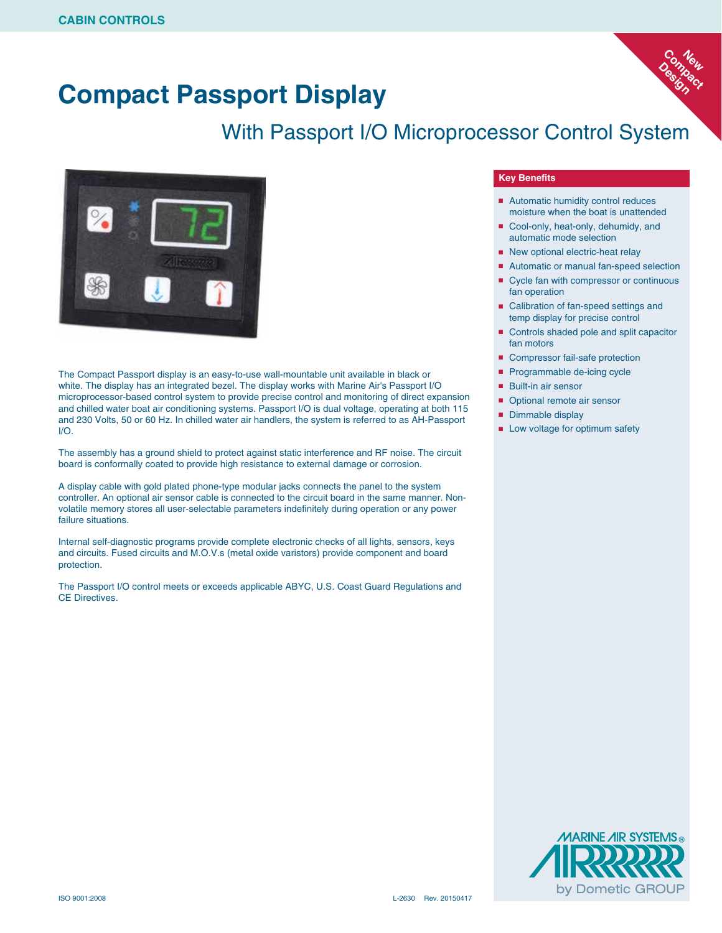# **Compact Passport Display**

## With Passport I/O Microprocessor Control System



The Compact Passport display is an easy-to-use wall-mountable unit available in black or white. The display has an integrated bezel. The display works with Marine Air's Passport I/O microprocessor-based control system to provide precise control and monitoring of direct expansion and chilled water boat air conditioning systems. Passport I/O is dual voltage, operating at both 115 and 230 Volts, 50 or 60 Hz. In chilled water air handlers, the system is referred to as AH-Passport I/O.

The assembly has a ground shield to protect against static interference and RF noise. The circuit board is conformally coated to provide high resistance to external damage or corrosion.

A display cable with gold plated phone-type modular jacks connects the panel to the system controller. An optional air sensor cable is connected to the circuit board in the same manner. Nonvolatile memory stores all user-selectable parameters indefinitely during operation or any power failure situations.

Internal self-diagnostic programs provide complete electronic checks of all lights, sensors, keys and circuits. Fused circuits and M.O.V.s (metal oxide varistors) provide component and board protection.

The Passport I/O control meets or exceeds applicable ABYC, U.S. Coast Guard Regulations and CE Directives.

#### **Key Benefits**

■ Automatic humidity control reduces moisture when the boat is unattended

Compact Compact **New** 

Design

- Cool-only, heat-only, dehumidy, and automatic mode selection
- New optional electric-heat relay
- Automatic or manual fan-speed selection
- Cycle fan with compressor or continuous fan operation
- Calibration of fan-speed settings and temp display for precise control
- Controls shaded pole and split capacitor fan motors
- Compressor fail-safe protection
- Programmable de-icing cycle
- Built-in air sensor
- Optional remote air sensor
- Dimmable display
- Low voltage for optimum safety